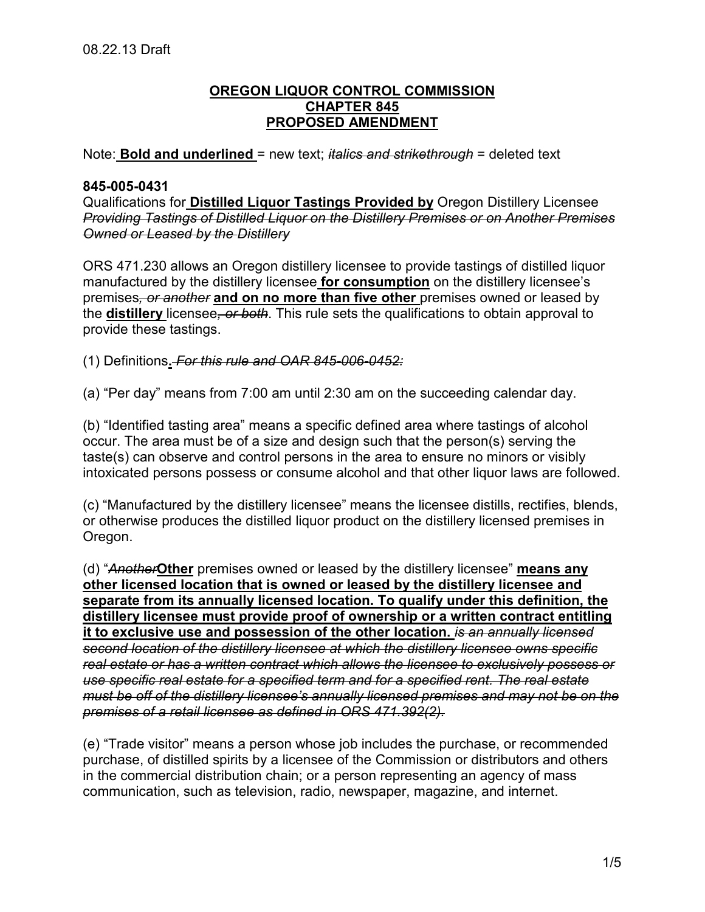## **OREGON LIQUOR CONTROL COMMISSION CHAPTER 845 PROPOSED AMENDMENT**

Note: **Bold and underlined** = new text; *italics and strikethrough* = deleted text

## **845-005-0431**

Qualifications for **Distilled Liquor Tastings Provided by** Oregon Distillery Licensee *Providing Tastings of Distilled Liquor on the Distillery Premises or on Another Premises Owned or Leased by the Distillery*

ORS 471.230 allows an Oregon distillery licensee to provide tastings of distilled liquor manufactured by the distillery licensee **for consumption** on the distillery licensee's premises*, or another* **and on no more than five other** premises owned or leased by the **distillery** licensee*, or both*. This rule sets the qualifications to obtain approval to provide these tastings.

(1) Definitions**.** *For this rule and OAR 845-006-0452:* 

(a) "Per day" means from 7:00 am until 2:30 am on the succeeding calendar day.

(b) "Identified tasting area" means a specific defined area where tastings of alcohol occur. The area must be of a size and design such that the person(s) serving the taste(s) can observe and control persons in the area to ensure no minors or visibly intoxicated persons possess or consume alcohol and that other liquor laws are followed.

(c) "Manufactured by the distillery licensee" means the licensee distills, rectifies, blends, or otherwise produces the distilled liquor product on the distillery licensed premises in Oregon.

(d) "*Another***Other** premises owned or leased by the distillery licensee" **means any other licensed location that is owned or leased by the distillery licensee and separate from its annually licensed location. To qualify under this definition, the distillery licensee must provide proof of ownership or a written contract entitling it to exclusive use and possession of the other location.** *is an annually licensed second location of the distillery licensee at which the distillery licensee owns specific real estate or has a written contract which allows the licensee to exclusively possess or use specific real estate for a specified term and for a specified rent. The real estate must be off of the distillery licensee's annually licensed premises and may not be on the premises of a retail licensee as defined in ORS 471.392(2).* 

(e) "Trade visitor" means a person whose job includes the purchase, or recommended purchase, of distilled spirits by a licensee of the Commission or distributors and others in the commercial distribution chain; or a person representing an agency of mass communication, such as television, radio, newspaper, magazine, and internet.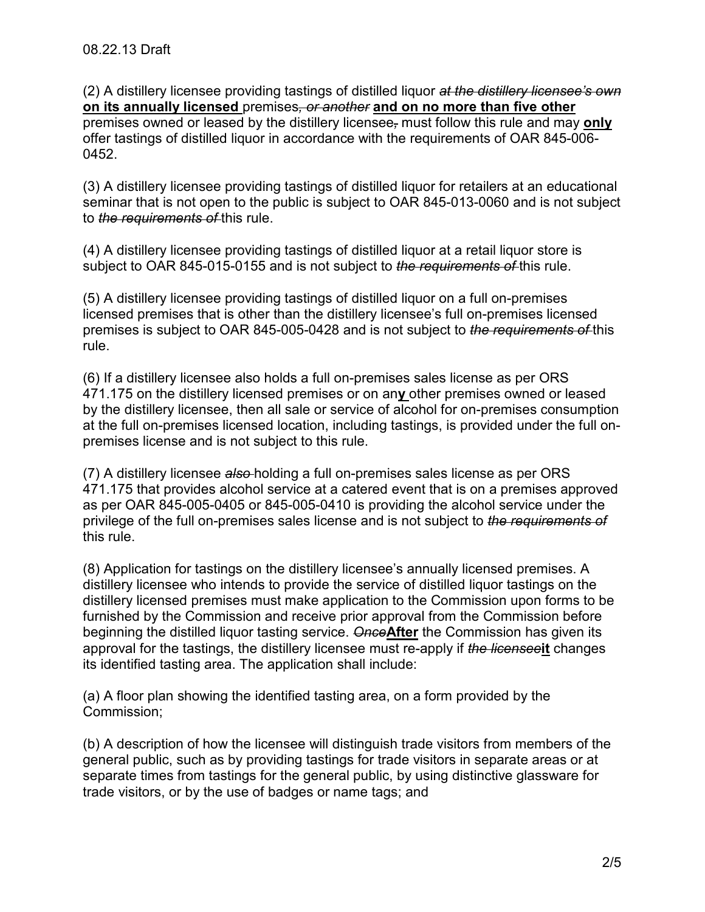(2) A distillery licensee providing tastings of distilled liquor *at the distillery licensee's own* **on its annually licensed** premises*, or another* **and on no more than five other**  premises owned or leased by the distillery licensee*,* must follow this rule and may **only**  offer tastings of distilled liquor in accordance with the requirements of OAR 845-006- 0452.

(3) A distillery licensee providing tastings of distilled liquor for retailers at an educational seminar that is not open to the public is subject to OAR 845-013-0060 and is not subject to *the requirements of* this rule.

(4) A distillery licensee providing tastings of distilled liquor at a retail liquor store is subject to OAR 845-015-0155 and is not subject to *the requirements of* this rule.

(5) A distillery licensee providing tastings of distilled liquor on a full on-premises licensed premises that is other than the distillery licensee's full on-premises licensed premises is subject to OAR 845-005-0428 and is not subject to *the requirements of* this rule.

(6) If a distillery licensee also holds a full on-premises sales license as per ORS 471.175 on the distillery licensed premises or on an**y** other premises owned or leased by the distillery licensee, then all sale or service of alcohol for on-premises consumption at the full on-premises licensed location, including tastings, is provided under the full onpremises license and is not subject to this rule.

(7) A distillery licensee *also* holding a full on-premises sales license as per ORS 471.175 that provides alcohol service at a catered event that is on a premises approved as per OAR 845-005-0405 or 845-005-0410 is providing the alcohol service under the privilege of the full on-premises sales license and is not subject to *the requirements of* this rule.

(8) Application for tastings on the distillery licensee's annually licensed premises. A distillery licensee who intends to provide the service of distilled liquor tastings on the distillery licensed premises must make application to the Commission upon forms to be furnished by the Commission and receive prior approval from the Commission before beginning the distilled liquor tasting service. *Once***After** the Commission has given its approval for the tastings, the distillery licensee must re-apply if *the licensee***it** changes its identified tasting area. The application shall include:

(a) A floor plan showing the identified tasting area, on a form provided by the Commission;

(b) A description of how the licensee will distinguish trade visitors from members of the general public, such as by providing tastings for trade visitors in separate areas or at separate times from tastings for the general public, by using distinctive glassware for trade visitors, or by the use of badges or name tags; and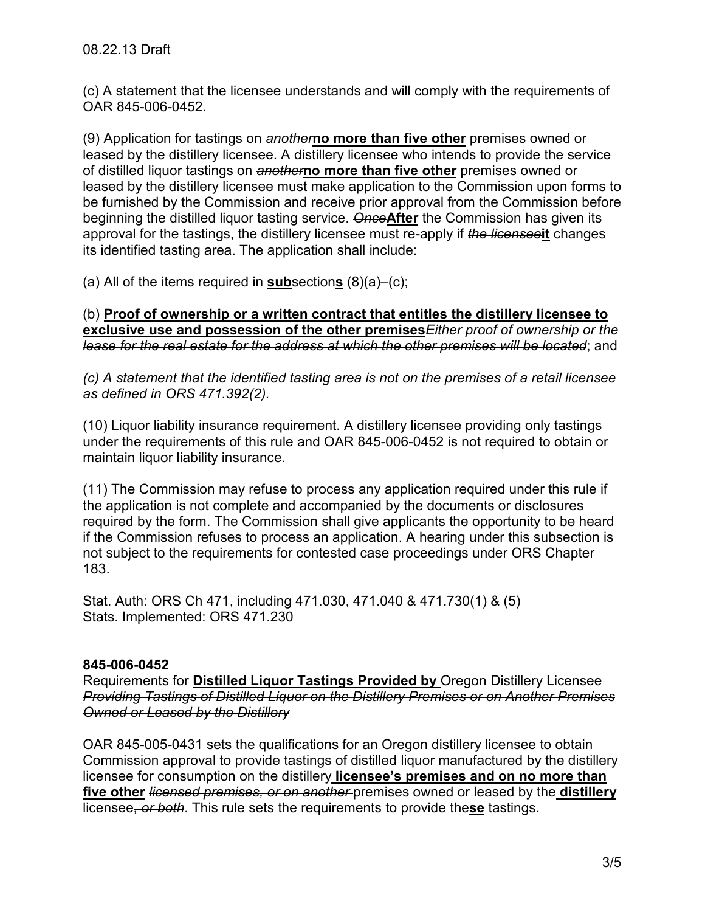(c) A statement that the licensee understands and will comply with the requirements of OAR 845-006-0452.

(9) Application for tastings on *another***no more than five other** premises owned or leased by the distillery licensee. A distillery licensee who intends to provide the service of distilled liquor tastings on *another***no more than five other** premises owned or leased by the distillery licensee must make application to the Commission upon forms to be furnished by the Commission and receive prior approval from the Commission before beginning the distilled liquor tasting service. *Once***After** the Commission has given its approval for the tastings, the distillery licensee must re-apply if *the licensee***it** changes its identified tasting area. The application shall include:

(a) All of the items required in **sub**section**s** (8)(a)–(c);

(b) **Proof of ownership or a written contract that entitles the distillery licensee to exclusive use and possession of the other premises***Either proof of ownership or the lease for the real estate for the address at which the other premises will be located*; and

*(c) A statement that the identified tasting area is not on the premises of a retail licensee as defined in ORS 471.392(2).* 

(10) Liquor liability insurance requirement. A distillery licensee providing only tastings under the requirements of this rule and OAR 845-006-0452 is not required to obtain or maintain liquor liability insurance.

(11) The Commission may refuse to process any application required under this rule if the application is not complete and accompanied by the documents or disclosures required by the form. The Commission shall give applicants the opportunity to be heard if the Commission refuses to process an application. A hearing under this subsection is not subject to the requirements for contested case proceedings under ORS Chapter 183.

Stat. Auth: ORS Ch 471, including 471.030, 471.040 & 471.730(1) & (5) Stats. Implemented: ORS 471.230

## **845-006-0452**

Requirements for **Distilled Liquor Tastings Provided by** Oregon Distillery Licensee *Providing Tastings of Distilled Liquor on the Distillery Premises or on Another Premises Owned or Leased by the Distillery*

OAR 845-005-0431 sets the qualifications for an Oregon distillery licensee to obtain Commission approval to provide tastings of distilled liquor manufactured by the distillery licensee for consumption on the distillery **licensee's premises and on no more than five other** *licensed premises, or on another* premises owned or leased by the **distillery** licensee*, or both*. This rule sets the requirements to provide the**se** tastings.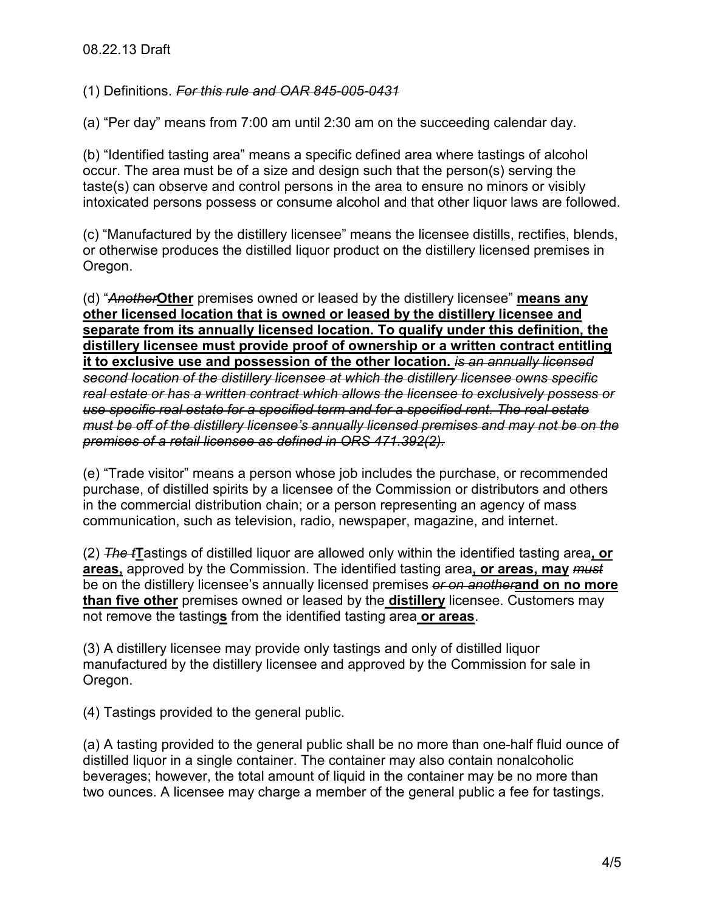(1) Definitions. *For this rule and OAR 845-005-0431* 

(a) "Per day" means from 7:00 am until 2:30 am on the succeeding calendar day.

(b) "Identified tasting area" means a specific defined area where tastings of alcohol occur. The area must be of a size and design such that the person(s) serving the taste(s) can observe and control persons in the area to ensure no minors or visibly intoxicated persons possess or consume alcohol and that other liquor laws are followed.

(c) "Manufactured by the distillery licensee" means the licensee distills, rectifies, blends, or otherwise produces the distilled liquor product on the distillery licensed premises in Oregon.

(d) "*Another***Other** premises owned or leased by the distillery licensee" **means any other licensed location that is owned or leased by the distillery licensee and separate from its annually licensed location. To qualify under this definition, the distillery licensee must provide proof of ownership or a written contract entitling it to exclusive use and possession of the other location.** *is an annually licensed second location of the distillery licensee at which the distillery licensee owns specific real estate or has a written contract which allows the licensee to exclusively possess or use specific real estate for a specified term and for a specified rent. The real estate must be off of the distillery licensee's annually licensed premises and may not be on the premises of a retail licensee as defined in ORS 471.392(2).* 

(e) "Trade visitor" means a person whose job includes the purchase, or recommended purchase, of distilled spirits by a licensee of the Commission or distributors and others in the commercial distribution chain; or a person representing an agency of mass communication, such as television, radio, newspaper, magazine, and internet.

(2) *The t***T**astings of distilled liquor are allowed only within the identified tasting area**, or areas,** approved by the Commission. The identified tasting area**, or areas, may** *must*  be on the distillery licensee's annually licensed premises *or on another***and on no more than five other** premises owned or leased by the **distillery** licensee. Customers may not remove the tasting**s** from the identified tasting area **or areas**.

(3) A distillery licensee may provide only tastings and only of distilled liquor manufactured by the distillery licensee and approved by the Commission for sale in Oregon.

(4) Tastings provided to the general public.

(a) A tasting provided to the general public shall be no more than one-half fluid ounce of distilled liquor in a single container. The container may also contain nonalcoholic beverages; however, the total amount of liquid in the container may be no more than two ounces. A licensee may charge a member of the general public a fee for tastings.